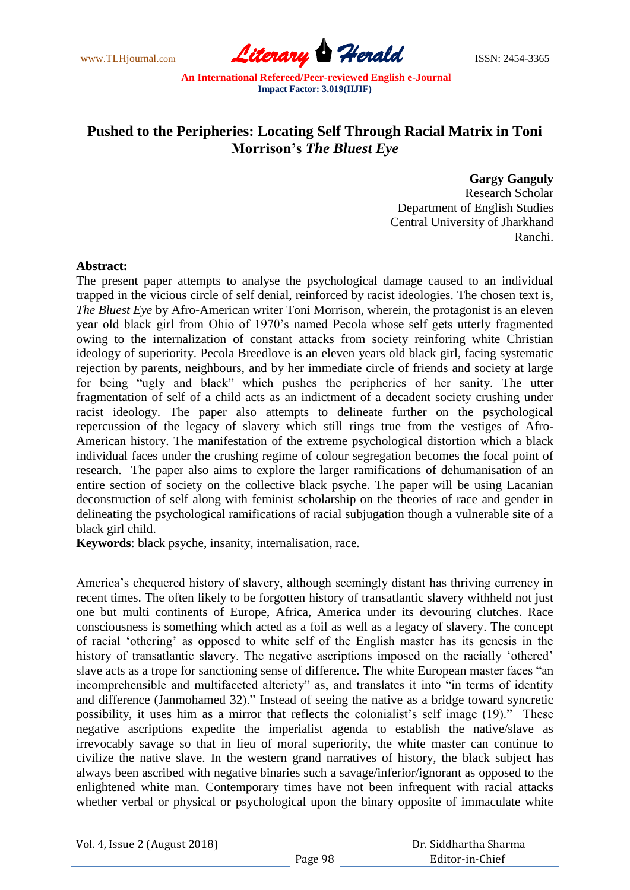www.TLHjournal.com *Literary Herald*ISSN: 2454-3365

## **Pushed to the Peripheries: Locating Self Through Racial Matrix in Toni Morrison's** *The Bluest Eye*

**Gargy Ganguly** Research Scholar Department of English Studies Central University of Jharkhand Ranchi.

## **Abstract:**

The present paper attempts to analyse the psychological damage caused to an individual trapped in the vicious circle of self denial, reinforced by racist ideologies. The chosen text is, *The Bluest Eye* by Afro-American writer Toni Morrison, wherein, the protagonist is an eleven year old black girl from Ohio of 1970"s named Pecola whose self gets utterly fragmented owing to the internalization of constant attacks from society reinforing white Christian ideology of superiority. Pecola Breedlove is an eleven years old black girl, facing systematic rejection by parents, neighbours, and by her immediate circle of friends and society at large for being "ugly and black" which pushes the peripheries of her sanity. The utter fragmentation of self of a child acts as an indictment of a decadent society crushing under racist ideology. The paper also attempts to delineate further on the psychological repercussion of the legacy of slavery which still rings true from the vestiges of Afro-American history. The manifestation of the extreme psychological distortion which a black individual faces under the crushing regime of colour segregation becomes the focal point of research. The paper also aims to explore the larger ramifications of dehumanisation of an entire section of society on the collective black psyche. The paper will be using Lacanian deconstruction of self along with feminist scholarship on the theories of race and gender in delineating the psychological ramifications of racial subjugation though a vulnerable site of a black girl child.

**Keywords**: black psyche, insanity, internalisation, race.

America"s chequered history of slavery, although seemingly distant has thriving currency in recent times. The often likely to be forgotten history of transatlantic slavery withheld not just one but multi continents of Europe, Africa, America under its devouring clutches. Race consciousness is something which acted as a foil as well as a legacy of slavery. The concept of racial "othering" as opposed to white self of the English master has its genesis in the history of transatlantic slavery. The negative ascriptions imposed on the racially 'othered' slave acts as a trope for sanctioning sense of difference. The white European master faces "an incomprehensible and multifaceted alteriety" as, and translates it into "in terms of identity and difference (Janmohamed 32)." Instead of seeing the native as a bridge toward syncretic possibility, it uses him as a mirror that reflects the colonialist"s self image (19)." These negative ascriptions expedite the imperialist agenda to establish the native/slave as irrevocably savage so that in lieu of moral superiority, the white master can continue to civilize the native slave. In the western grand narratives of history, the black subject has always been ascribed with negative binaries such a savage/inferior/ignorant as opposed to the enlightened white man. Contemporary times have not been infrequent with racial attacks whether verbal or physical or psychological upon the binary opposite of immaculate white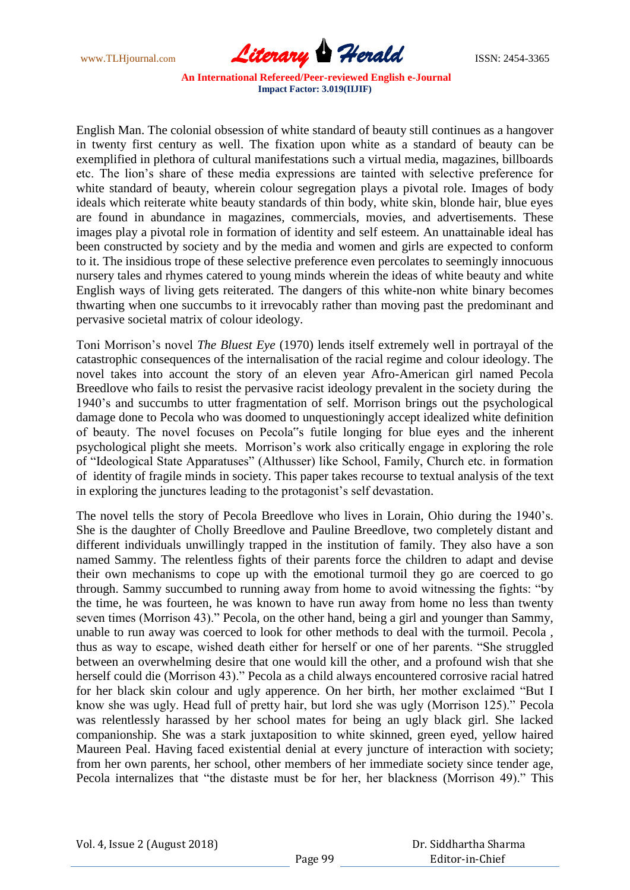www.TLHjournal.com **Literary Herald Herald** ISSN: 2454-3365

English Man. The colonial obsession of white standard of beauty still continues as a hangover in twenty first century as well. The fixation upon white as a standard of beauty can be exemplified in plethora of cultural manifestations such a virtual media, magazines, billboards etc. The lion"s share of these media expressions are tainted with selective preference for white standard of beauty, wherein colour segregation plays a pivotal role. Images of body ideals which reiterate white beauty standards of thin body, white skin, blonde hair, blue eyes are found in abundance in magazines, commercials, movies, and advertisements. These images play a pivotal role in formation of identity and self esteem. An unattainable ideal has been constructed by society and by the media and women and girls are expected to conform to it. The insidious trope of these selective preference even percolates to seemingly innocuous nursery tales and rhymes catered to young minds wherein the ideas of white beauty and white English ways of living gets reiterated. The dangers of this white-non white binary becomes thwarting when one succumbs to it irrevocably rather than moving past the predominant and pervasive societal matrix of colour ideology.

Toni Morrison"s novel *The Bluest Eye* (1970) lends itself extremely well in portrayal of the catastrophic consequences of the internalisation of the racial regime and colour ideology. The novel takes into account the story of an eleven year Afro-American girl named Pecola Breedlove who fails to resist the pervasive racist ideology prevalent in the society during the 1940"s and succumbs to utter fragmentation of self. Morrison brings out the psychological damage done to Pecola who was doomed to unquestioningly accept idealized white definition of beauty. The novel focuses on Pecola"s futile longing for blue eyes and the inherent psychological plight she meets. Morrison"s work also critically engage in exploring the role of "Ideological State Apparatuses" (Althusser) like School, Family, Church etc. in formation of identity of fragile minds in society. This paper takes recourse to textual analysis of the text in exploring the junctures leading to the protagonist's self devastation.

The novel tells the story of Pecola Breedlove who lives in Lorain, Ohio during the 1940"s. She is the daughter of Cholly Breedlove and Pauline Breedlove, two completely distant and different individuals unwillingly trapped in the institution of family. They also have a son named Sammy. The relentless fights of their parents force the children to adapt and devise their own mechanisms to cope up with the emotional turmoil they go are coerced to go through. Sammy succumbed to running away from home to avoid witnessing the fights: "by the time, he was fourteen, he was known to have run away from home no less than twenty seven times (Morrison 43)." Pecola, on the other hand, being a girl and younger than Sammy, unable to run away was coerced to look for other methods to deal with the turmoil. Pecola , thus as way to escape, wished death either for herself or one of her parents. "She struggled between an overwhelming desire that one would kill the other, and a profound wish that she herself could die (Morrison 43)." Pecola as a child always encountered corrosive racial hatred for her black skin colour and ugly apperence. On her birth, her mother exclaimed "But I know she was ugly. Head full of pretty hair, but lord she was ugly (Morrison 125)." Pecola was relentlessly harassed by her school mates for being an ugly black girl. She lacked companionship. She was a stark juxtaposition to white skinned, green eyed, yellow haired Maureen Peal. Having faced existential denial at every juncture of interaction with society; from her own parents, her school, other members of her immediate society since tender age, Pecola internalizes that "the distaste must be for her, her blackness (Morrison 49)." This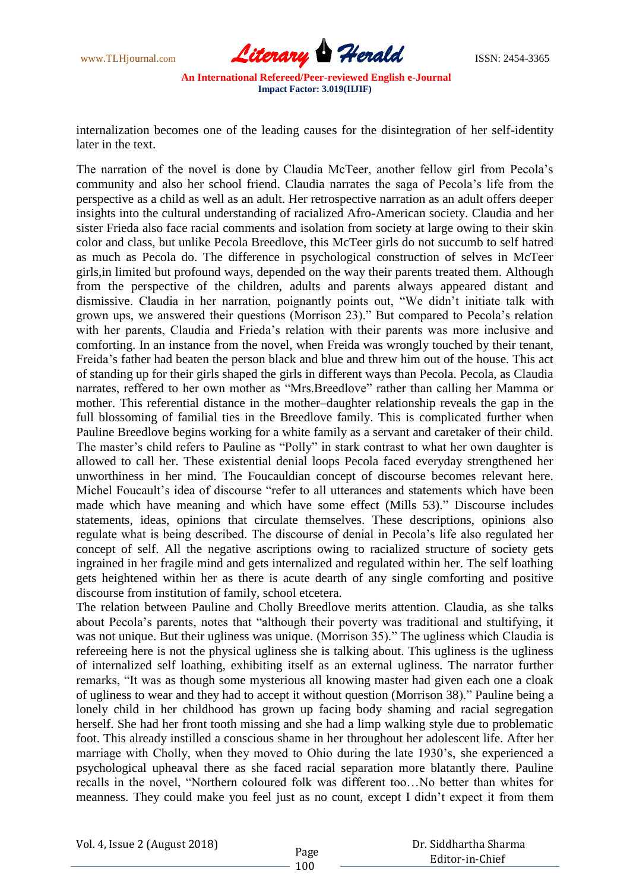

internalization becomes one of the leading causes for the disintegration of her self-identity later in the text.

The narration of the novel is done by Claudia McTeer, another fellow girl from Pecola"s community and also her school friend. Claudia narrates the saga of Pecola"s life from the perspective as a child as well as an adult. Her retrospective narration as an adult offers deeper insights into the cultural understanding of racialized Afro-American society. Claudia and her sister Frieda also face racial comments and isolation from society at large owing to their skin color and class, but unlike Pecola Breedlove, this McTeer girls do not succumb to self hatred as much as Pecola do. The difference in psychological construction of selves in McTeer girls,in limited but profound ways, depended on the way their parents treated them. Although from the perspective of the children, adults and parents always appeared distant and dismissive. Claudia in her narration, poignantly points out, "We didn"t initiate talk with grown ups, we answered their questions (Morrison 23)." But compared to Pecola"s relation with her parents, Claudia and Frieda"s relation with their parents was more inclusive and comforting. In an instance from the novel, when Freida was wrongly touched by their tenant, Freida"s father had beaten the person black and blue and threw him out of the house. This act of standing up for their girls shaped the girls in different ways than Pecola. Pecola, as Claudia narrates, reffered to her own mother as "Mrs.Breedlove" rather than calling her Mamma or mother. This referential distance in the mother–daughter relationship reveals the gap in the full blossoming of familial ties in the Breedlove family. This is complicated further when Pauline Breedlove begins working for a white family as a servant and caretaker of their child. The master's child refers to Pauline as "Polly" in stark contrast to what her own daughter is allowed to call her. These existential denial loops Pecola faced everyday strengthened her unworthiness in her mind. The Foucauldian concept of discourse becomes relevant here. Michel Foucault"s idea of discourse "refer to all utterances and statements which have been made which have meaning and which have some effect (Mills 53)." Discourse includes statements, ideas, opinions that circulate themselves. These descriptions, opinions also regulate what is being described. The discourse of denial in Pecola"s life also regulated her concept of self. All the negative ascriptions owing to racialized structure of society gets ingrained in her fragile mind and gets internalized and regulated within her. The self loathing gets heightened within her as there is acute dearth of any single comforting and positive discourse from institution of family, school etcetera.

The relation between Pauline and Cholly Breedlove merits attention. Claudia, as she talks about Pecola"s parents, notes that "although their poverty was traditional and stultifying, it was not unique. But their ugliness was unique. (Morrison 35)." The ugliness which Claudia is refereeing here is not the physical ugliness she is talking about. This ugliness is the ugliness of internalized self loathing, exhibiting itself as an external ugliness. The narrator further remarks, "It was as though some mysterious all knowing master had given each one a cloak of ugliness to wear and they had to accept it without question (Morrison 38)." Pauline being a lonely child in her childhood has grown up facing body shaming and racial segregation herself. She had her front tooth missing and she had a limp walking style due to problematic foot. This already instilled a conscious shame in her throughout her adolescent life. After her marriage with Cholly, when they moved to Ohio during the late 1930"s, she experienced a psychological upheaval there as she faced racial separation more blatantly there. Pauline recalls in the novel, "Northern coloured folk was different too…No better than whites for meanness. They could make you feel just as no count, except I didn"t expect it from them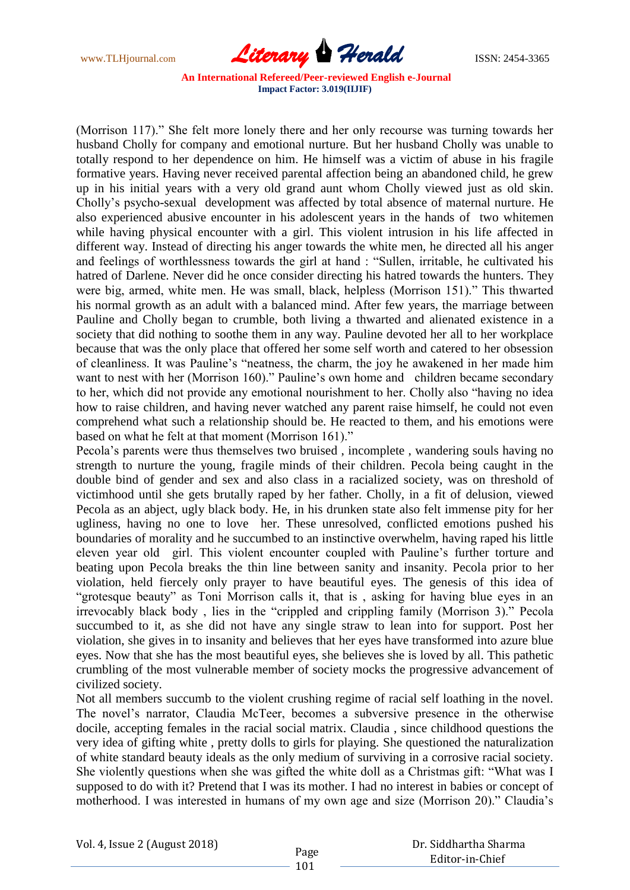www.TLHjournal.com **Literary Herald ISSN: 2454-3365** 

(Morrison 117)." She felt more lonely there and her only recourse was turning towards her husband Cholly for company and emotional nurture. But her husband Cholly was unable to totally respond to her dependence on him. He himself was a victim of abuse in his fragile formative years. Having never received parental affection being an abandoned child, he grew up in his initial years with a very old grand aunt whom Cholly viewed just as old skin. Cholly"s psycho-sexual development was affected by total absence of maternal nurture. He also experienced abusive encounter in his adolescent years in the hands of two whitemen while having physical encounter with a girl. This violent intrusion in his life affected in different way. Instead of directing his anger towards the white men, he directed all his anger and feelings of worthlessness towards the girl at hand : "Sullen, irritable, he cultivated his hatred of Darlene. Never did he once consider directing his hatred towards the hunters. They were big, armed, white men. He was small, black, helpless (Morrison 151)." This thwarted his normal growth as an adult with a balanced mind. After few years, the marriage between Pauline and Cholly began to crumble, both living a thwarted and alienated existence in a society that did nothing to soothe them in any way. Pauline devoted her all to her workplace because that was the only place that offered her some self worth and catered to her obsession of cleanliness. It was Pauline"s "neatness, the charm, the joy he awakened in her made him want to nest with her (Morrison 160)." Pauline's own home and children became secondary to her, which did not provide any emotional nourishment to her. Cholly also "having no idea how to raise children, and having never watched any parent raise himself, he could not even comprehend what such a relationship should be. He reacted to them, and his emotions were based on what he felt at that moment (Morrison 161)."

Pecola's parents were thus themselves two bruised, incomplete, wandering souls having no strength to nurture the young, fragile minds of their children. Pecola being caught in the double bind of gender and sex and also class in a racialized society, was on threshold of victimhood until she gets brutally raped by her father. Cholly, in a fit of delusion, viewed Pecola as an abject, ugly black body. He, in his drunken state also felt immense pity for her ugliness, having no one to love her. These unresolved, conflicted emotions pushed his boundaries of morality and he succumbed to an instinctive overwhelm, having raped his little eleven year old girl. This violent encounter coupled with Pauline"s further torture and beating upon Pecola breaks the thin line between sanity and insanity. Pecola prior to her violation, held fiercely only prayer to have beautiful eyes. The genesis of this idea of "grotesque beauty" as Toni Morrison calls it, that is , asking for having blue eyes in an irrevocably black body , lies in the "crippled and crippling family (Morrison 3)." Pecola succumbed to it, as she did not have any single straw to lean into for support. Post her violation, she gives in to insanity and believes that her eyes have transformed into azure blue eyes. Now that she has the most beautiful eyes, she believes she is loved by all. This pathetic crumbling of the most vulnerable member of society mocks the progressive advancement of civilized society.

Not all members succumb to the violent crushing regime of racial self loathing in the novel. The novel's narrator, Claudia McTeer, becomes a subversive presence in the otherwise docile, accepting females in the racial social matrix. Claudia , since childhood questions the very idea of gifting white , pretty dolls to girls for playing. She questioned the naturalization of white standard beauty ideals as the only medium of surviving in a corrosive racial society. She violently questions when she was gifted the white doll as a Christmas gift: "What was I supposed to do with it? Pretend that I was its mother. I had no interest in babies or concept of motherhood. I was interested in humans of my own age and size (Morrison 20)." Claudia"s

 Dr. Siddhartha Sharma Editor-in-Chief